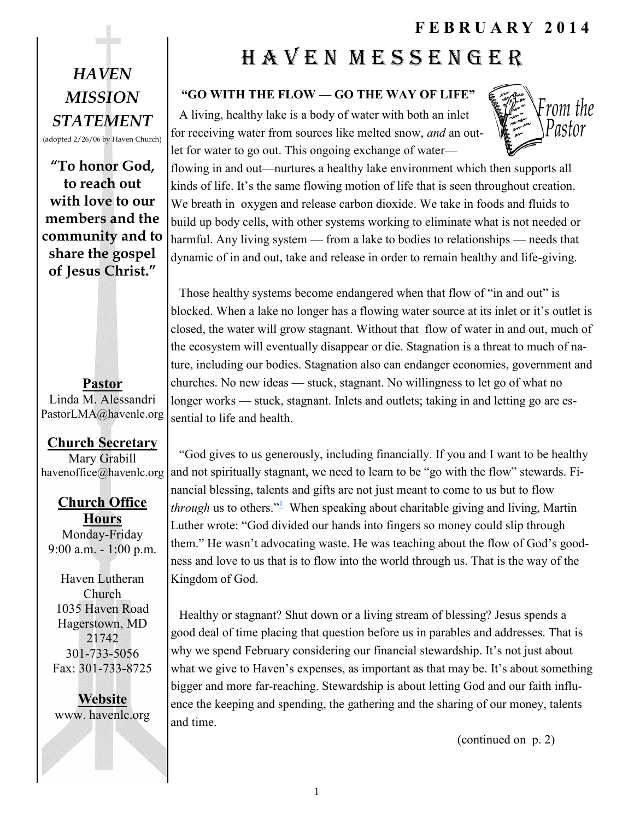## *HAVEN MISSION STATEMENT*

(adopted 2/26/06 by Haven Church)

**"To honor God, to reach out with love to our members and the community and to share the gospel of Jesus Christ."**

**Pastor** Linda M. Alessandri PastorLMA@havenlc.org

### **Church Secretary**

Mary Grabill havenoffice@havenlc.org

**Church Office Hours** Monday-Friday 9:00 a.m. - 1:00 p.m.

Haven Lutheran Church 1035 Haven Road Hagerstown, MD 21742 301-733-5056 Fax: 301-733-8725

**Website** www. havenlc.org

# H A V E N M E S S E N G E R

#### **"GO WITH THE FLOW — GO THE WAY OF LIFE"**

A living, healthy lake is a body of water with both an inlet for receiving water from sources like melted snow, *and* an outlet for water to go out. This ongoing exchange of water—



flowing in and out—nurtures a healthy lake environment which then supports all kinds of life. It's the same flowing motion of life that is seen throughout creation. We breath in oxygen and release carbon dioxide. We take in foods and fluids to build up body cells, with other systems working to eliminate what is not needed or harmful. Any living system — from a lake to bodies to relationships — needs that dynamic of in and out, take and release in order to remain healthy and life-giving.

Those healthy systems become endangered when that flow of "in and out" is blocked. When a lake no longer has a flowing water source at its inlet or it's outlet is closed, the water will grow stagnant. Without that flow of water in and out, much of the ecosystem will eventually disappear or die. Stagnation is a threat to much of nature, including our bodies. Stagnation also can endanger economies, government and churches. No new ideas — stuck, stagnant. No willingness to let go of what no longer works — stuck, stagnant. Inlets and outlets; taking in and letting go are essential to life and health.

"God gives to us generously, including financially. If you and I want to be healthy and not spiritually stagnant, we need to learn to be "go with the flow" stewards. Financial blessing, talents and gifts are not just meant to come to us but to flow *through*us to others.<sup>" $\frac{1}{2}$ </sup> When speaking about charitable giving and living, Martin Luther wrote: "God divided our hands into fingers so money could slip through them." He wasn't advocating waste. He was teaching about the flow of God's goodness and love to us that is to flow into the world through us. That is the way of the Kingdom of God.

Healthy or stagnant? Shut down or a living stream of blessing? Jesus spends a good deal of time placing that question before us in parables and addresses. That is why we spend February considering our financial stewardship. It's not just about what we give to Haven's expenses, as important as that may be. It's about something bigger and more far-reaching. Stewardship is about letting God and our faith influence the keeping and spending, the gathering and the sharing of our money, talents and time.

(continued on p. 2)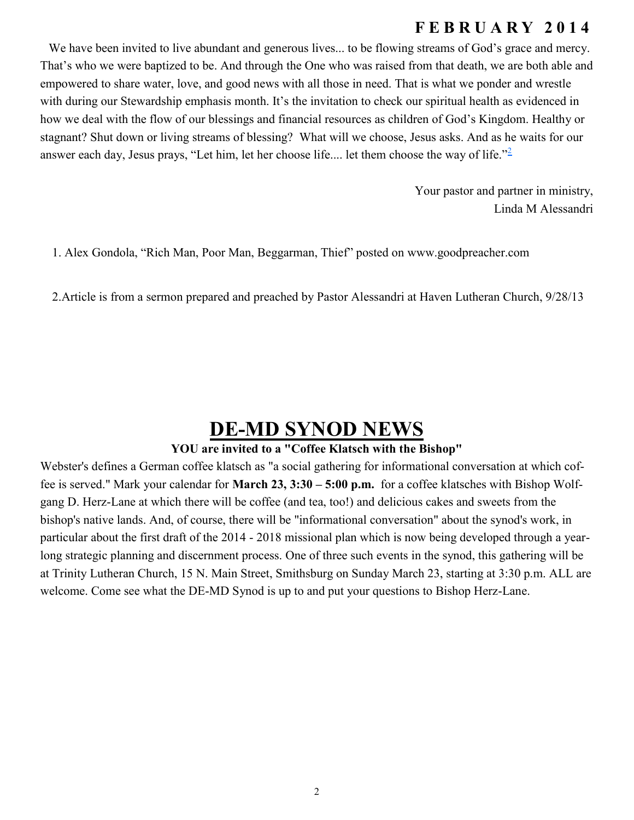We have been invited to live abundant and generous lives... to be flowing streams of God's grace and mercy. That's who we were baptized to be. And through the One who was raised from that death, we are both able and empowered to share water, love, and good news with all those in need. That is what we ponder and wrestle with during our Stewardship emphasis month. It's the invitation to check our spiritual health as evidenced in how we deal with the flow of our blessings and financial resources as children of God's Kingdom. Healthy or stagnant? Shut down or living streams of blessing? What will we choose, Jesus asks. And as he waits for our answer each day, Jesus prays, "Let him, let her choose life.... let them choose the way of life."<sup>[2](file:///C:/Users/Jacquetta/AppData/Local/Microsoft/Windows/Temporary%20Internet%20Files/Content.Outlook/I0B3I71Z/14JanPastor)</sup>

> Your pastor and partner in ministry, Linda M Alessandri

[1. Alex Gondola, "Rich Man, Poor Man, Beggarman, Thief" posted on](file:///C:/Users/Jacquetta/AppData/Local/Microsoft/Windows/Temporary%20Internet%20Files/Content.Outlook/I0B3I71Z/14JanPastor) [www.goodpreacher.com](http://www.goodpreacher.com)

[2.Article is from a sermon prepared and preached by Pastor Ales](file:///C:/Users/Jacquetta/AppData/Local/Microsoft/Windows/Temporary%20Internet%20Files/Content.Outlook/I0B3I71Z/14JanPastor)sandri at Haven Lutheran Church, 9/28/13

## **DE-MD SYNOD NEWS**

#### **YOU are invited to a "Coffee Klatsch with the Bishop"**

Webster's defines a German coffee klatsch as "a social gathering for informational conversation at which coffee is served." Mark your calendar for **March 23, 3:30 – 5:00 p.m.** for a coffee klatsches with Bishop Wolfgang D. Herz-Lane at which there will be coffee (and tea, too!) and delicious cakes and sweets from the bishop's native lands. And, of course, there will be "informational conversation" about the synod's work, in particular about the first draft of the 2014 - 2018 missional plan which is now being developed through a yearlong strategic planning and discernment process. One of three such events in the synod, this gathering will be at Trinity Lutheran Church, 15 N. Main Street, Smithsburg on Sunday March 23, starting at 3:30 p.m. ALL are welcome. Come see what the DE-MD Synod is up to and put your questions to Bishop Herz-Lane.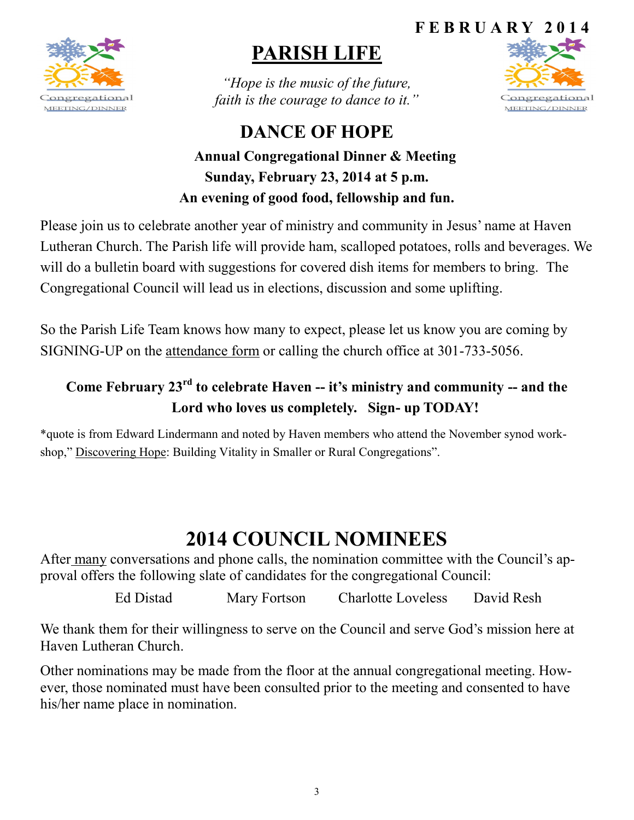

# **PARISH LIFE**

*"Hope is the music of the future, faith is the courage to dance to it."*

**DANCE OF HOPE**



## **Annual Congregational Dinner & Meeting Sunday, February 23, 2014 at 5 p.m. An evening of good food, fellowship and fun.**

Please join us to celebrate another year of ministry and community in Jesus' name at Haven Lutheran Church. The Parish life will provide ham, scalloped potatoes, rolls and beverages. We will do a bulletin board with suggestions for covered dish items for members to bring. The Congregational Council will lead us in elections, discussion and some uplifting.

So the Parish Life Team knows how many to expect, please let us know you are coming by SIGNING-UP on the attendance form or calling the church office at 301-733-5056.

### **Come February 23rd to celebrate Haven -- it's ministry and community -- and the Lord who loves us completely. Sign- up TODAY!**

\*quote is from Edward Lindermann and noted by Haven members who attend the November synod workshop," Discovering Hope: Building Vitality in Smaller or Rural Congregations".

# **2014 COUNCIL NOMINEES**

After many conversations and phone calls, the nomination committee with the Council's approval offers the following slate of candidates for the congregational Council:

Ed Distad Mary Fortson Charlotte Loveless David Resh

We thank them for their willingness to serve on the Council and serve God's mission here at Haven Lutheran Church.

Other nominations may be made from the floor at the annual congregational meeting. However, those nominated must have been consulted prior to the meeting and consented to have his/her name place in nomination.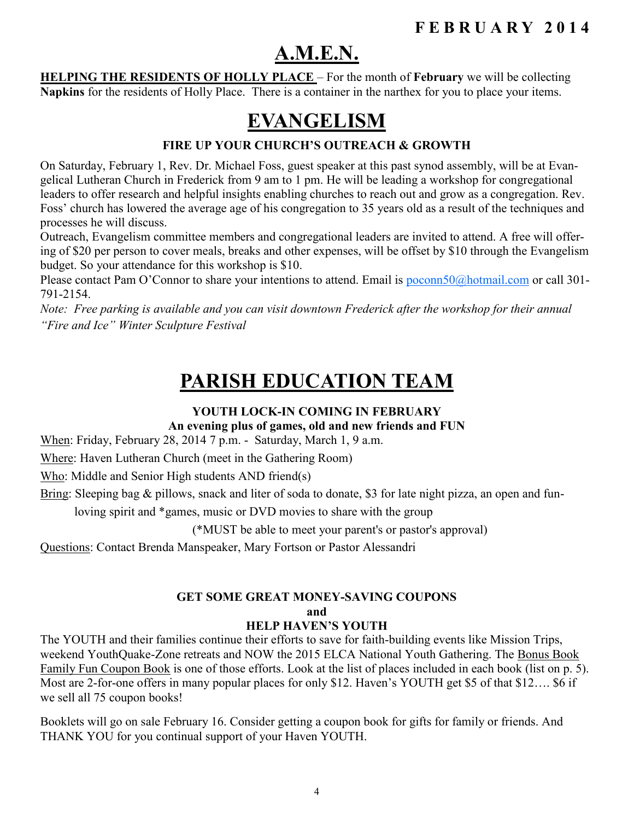## **A.M.E.N.**

**HELPING THE RESIDENTS OF HOLLY PLACE** – For the month of **February** we will be collecting **Napkins** for the residents of Holly Place. There is a container in the narthex for you to place your items.

## **EVANGELISM**

#### **FIRE UP YOUR CHURCH'S OUTREACH & GROWTH**

On Saturday, February 1, Rev. Dr. Michael Foss, guest speaker at this past synod assembly, will be at Evangelical Lutheran Church in Frederick from 9 am to 1 pm. He will be leading a workshop for congregational leaders to offer research and helpful insights enabling churches to reach out and grow as a congregation. Rev. Foss' church has lowered the average age of his congregation to 35 years old as a result of the techniques and processes he will discuss.

Outreach, Evangelism committee members and congregational leaders are invited to attend. A free will offering of \$20 per person to cover meals, breaks and other expenses, will be offset by \$10 through the Evangelism budget. So your attendance for this workshop is \$10.

Please contact Pam O'Connor to share your intentions to attend. Email is [poconn50@hotmail.com](mailto:poconn50@hotmail.com) or call 301-791-2154.

*Note: Free parking is available and you can visit downtown Frederick after the workshop for their annual "Fire and Ice" Winter Sculpture Festival*

## **PARISH EDUCATION TEAM**

#### **YOUTH LOCK-IN COMING IN FEBRUARY**

**An evening plus of games, old and new friends and FUN**

When: Friday, February 28, 2014 7 p.m. - Saturday, March 1, 9 a.m.

Where: Haven Lutheran Church (meet in the Gathering Room)

Who: Middle and Senior High students AND friend(s)

Bring: Sleeping bag & pillows, snack and liter of soda to donate, \$3 for late night pizza, an open and fun-

loving spirit and \*games, music or DVD movies to share with the group

(\*MUST be able to meet your parent's or pastor's approval)

Questions: Contact Brenda Manspeaker, Mary Fortson or Pastor Alessandri

#### **GET SOME GREAT MONEY-SAVING COUPONS and HELP HAVEN'S YOUTH**

The YOUTH and their families continue their efforts to save for faith-building events like Mission Trips, weekend YouthQuake-Zone retreats and NOW the 2015 ELCA National Youth Gathering. The Bonus Book Family Fun Coupon Book is one of those efforts. Look at the list of places included in each book (list on p. 5). Most are 2-for-one offers in many popular places for only \$12. Haven's YOUTH get \$5 of that \$12…. \$6 if we sell all 75 coupon books!

Booklets will go on sale February 16. Consider getting a coupon book for gifts for family or friends. And THANK YOU for you continual support of your Haven YOUTH.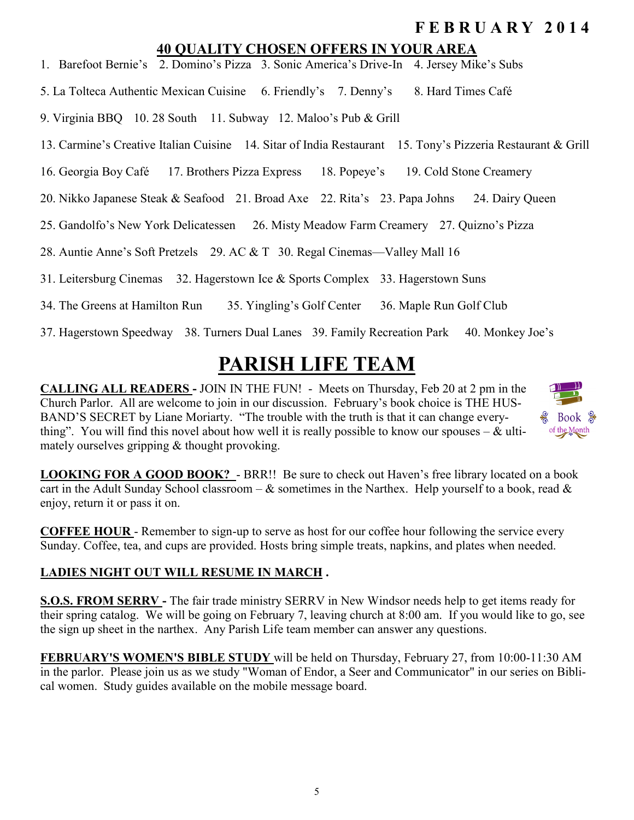#### **40 QUALITY CHOSEN OFFERS IN YOUR AREA**

- 1. Barefoot Bernie's 2. Domino's Pizza 3. Sonic America's Drive-In 4. Jersey Mike's Subs
- 5. La Tolteca Authentic Mexican Cuisine 6. Friendly's 7. Denny's 8. Hard Times Café
- 9. Virginia BBQ 10. 28 South 11. Subway 12. Maloo's Pub & Grill
- 13. Carmine's Creative Italian Cuisine 14. Sitar of India Restaurant 15. Tony's Pizzeria Restaurant & Grill
- 16. Georgia Boy Café 17. Brothers Pizza Express 18. Popeye's 19. Cold Stone Creamery
- 20. Nikko Japanese Steak & Seafood 21. Broad Axe 22. Rita's 23. Papa Johns 24. Dairy Queen
- 25. Gandolfo's New York Delicatessen 26. Misty Meadow Farm Creamery 27. Quizno's Pizza
- 28. Auntie Anne's Soft Pretzels 29. AC & T 30. Regal Cinemas—Valley Mall 16
- 31. Leitersburg Cinemas 32. Hagerstown Ice & Sports Complex 33. Hagerstown Suns
- 34. The Greens at Hamilton Run 35. Yingling's Golf Center 36. Maple Run Golf Club
- 37. Hagerstown Speedway 38. Turners Dual Lanes 39. Family Recreation Park 40. Monkey Joe's

# **PARISH LIFE TEAM**

**CALLING ALL READERS -** JOIN IN THE FUN! - Meets on Thursday, Feb 20 at 2 pm in the Church Parlor. All are welcome to join in our discussion. February's book choice is THE HUS-BAND'S SECRET by Liane Moriarty. "The trouble with the truth is that it can change everything". You will find this novel about how well it is really possible to know our spouses –  $\&$  ultimately ourselves gripping & thought provoking.



**LOOKING FOR A GOOD BOOK?** - BRR!! Be sure to check out Haven's free library located on a book cart in the Adult Sunday School classroom –  $\&$  sometimes in the Narthex. Help yourself to a book, read  $\&$ enjoy, return it or pass it on.

**COFFEE HOUR** - Remember to sign-up to serve as host for our coffee hour following the service every Sunday. Coffee, tea, and cups are provided. Hosts bring simple treats, napkins, and plates when needed.

### **LADIES NIGHT OUT WILL RESUME IN MARCH .**

**S.O.S. FROM SERRV -** The fair trade ministry SERRV in New Windsor needs help to get items ready for their spring catalog. We will be going on February 7, leaving church at 8:00 am. If you would like to go, see the sign up sheet in the narthex. Any Parish Life team member can answer any questions.

**FEBRUARY'S WOMEN'S BIBLE STUDY** will be held on Thursday, February 27, from 10:00-11:30 AM in the parlor. Please join us as we study "Woman of Endor, a Seer and Communicator" in our series on Biblical women. Study guides available on the mobile message board.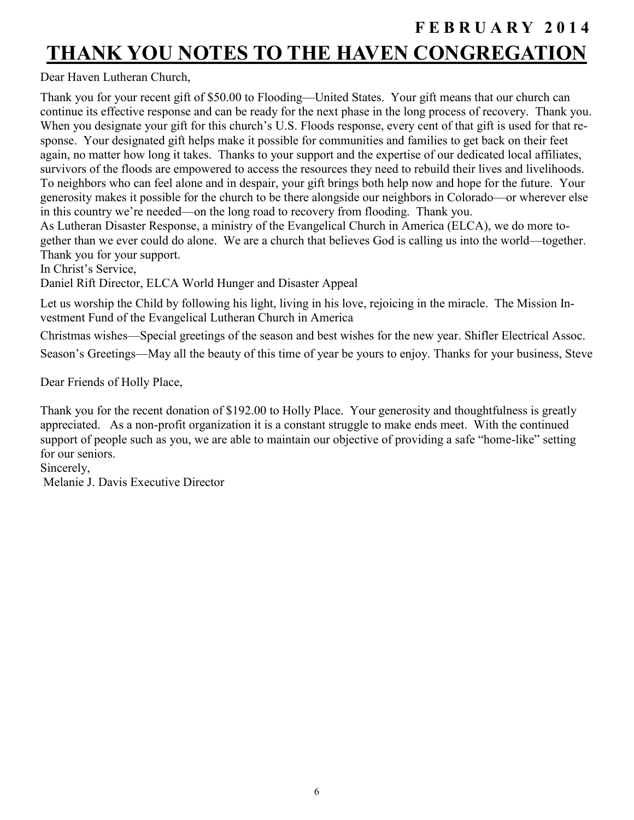## **F E B R U A R Y 2 0 1 4 THANK YOU NOTES TO THE HAVEN CONGREGATION**

Dear Haven Lutheran Church,

Thank you for your recent gift of \$50.00 to Flooding—United States. Your gift means that our church can continue its effective response and can be ready for the next phase in the long process of recovery. Thank you. When you designate your gift for this church's U.S. Floods response, every cent of that gift is used for that response. Your designated gift helps make it possible for communities and families to get back on their feet again, no matter how long it takes. Thanks to your support and the expertise of our dedicated local affiliates, survivors of the floods are empowered to access the resources they need to rebuild their lives and livelihoods. To neighbors who can feel alone and in despair, your gift brings both help now and hope for the future. Your generosity makes it possible for the church to be there alongside our neighbors in Colorado—or wherever else in this country we're needed—on the long road to recovery from flooding. Thank you.

As Lutheran Disaster Response, a ministry of the Evangelical Church in America (ELCA), we do more together than we ever could do alone. We are a church that believes God is calling us into the world—together. Thank you for your support.

In Christ's Service,

Daniel Rift Director, ELCA World Hunger and Disaster Appeal

Let us worship the Child by following his light, living in his love, rejoicing in the miracle. The Mission Investment Fund of the Evangelical Lutheran Church in America

Christmas wishes—Special greetings of the season and best wishes for the new year. Shifler Electrical Assoc.

Season's Greetings—May all the beauty of this time of year be yours to enjoy. Thanks for your business, Steve

Dear Friends of Holly Place,

Thank you for the recent donation of \$192.00 to Holly Place. Your generosity and thoughtfulness is greatly appreciated. As a non-profit organization it is a constant struggle to make ends meet. With the continued support of people such as you, we are able to maintain our objective of providing a safe "home-like" setting for our seniors.

Sincerely,

Melanie J. Davis Executive Director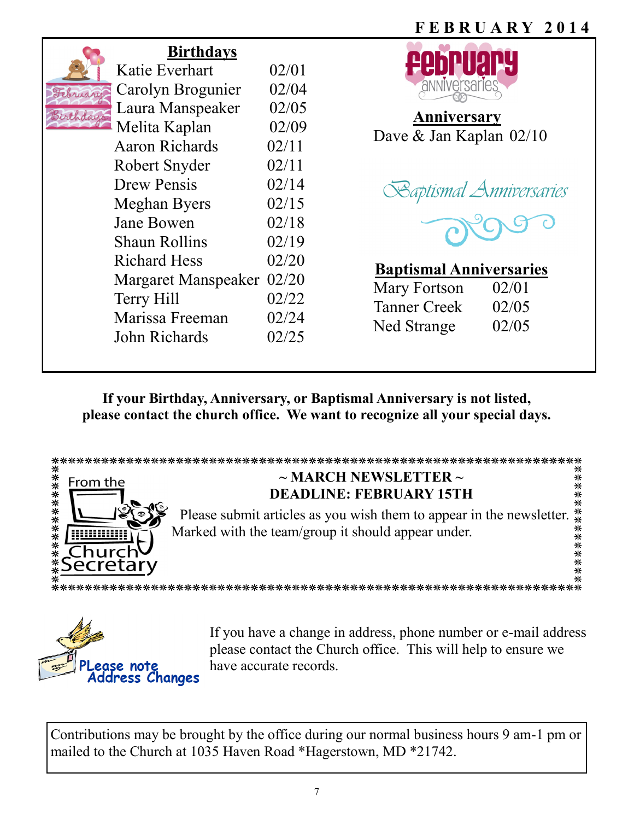

### **Birthdays**

| Katie Everhart        | 02/01 |
|-----------------------|-------|
| Carolyn Brogunier     | 02/04 |
| Laura Manspeaker      | 02/05 |
| Melita Kaplan         | 02/09 |
| <b>Aaron Richards</b> | 02/11 |
| Robert Snyder         | 02/11 |
| <b>Drew Pensis</b>    | 02/14 |
| Meghan Byers          | 02/15 |
| <b>Jane Bowen</b>     | 02/18 |
| Shaun Rollins         | 02/19 |
| <b>Richard Hess</b>   | 02/20 |
| Margaret Manspeaker   | 02/20 |
| Terry Hill            | 02/22 |
| Marissa Freeman       | 02/24 |
| John Richards         | 02/25 |
|                       |       |



**Anniversary**  Dave & Jan Kaplan 02/10





### **Baptismal Anniversaries**

| Mary Fortson        | 02/01 |
|---------------------|-------|
| <b>Tanner Creek</b> | 02/05 |
| Ned Strange         | 02/05 |

**If your Birthday, Anniversary, or Baptismal Anniversary is not listed, please contact the church office. We want to recognize all your special days.**





If you have a change in address, phone number or e-mail address please contact the Church office. This will help to ensure we have accurate records.

Contributions may be brought by the office during our normal business hours 9 am-1 pm or mailed to the Church at 1035 Haven Road \*Hagerstown, MD \*21742.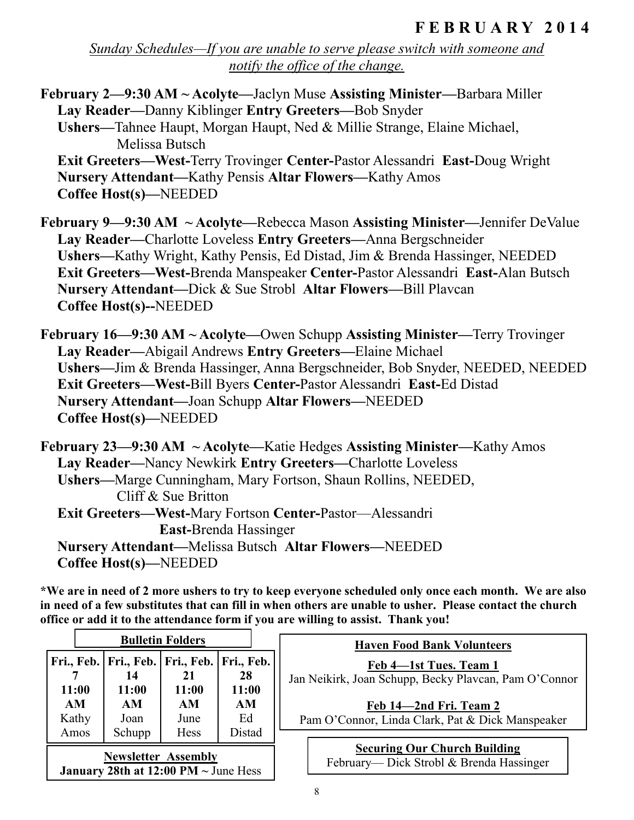*Sunday Schedules—If you are unable to serve please switch with someone and notify the office of the change.*

**February 2—9:30 AM ~ Acolyte—**Jaclyn Muse **Assisting Minister—**Barbara Miller **Lay Reader—**Danny Kiblinger **Entry Greeters—**Bob Snyder **Ushers—**Tahnee Haupt, Morgan Haupt, Ned & Millie Strange, Elaine Michael, Melissa Butsch **Exit Greeters—West-**Terry Trovinger **Center-**Pastor Alessandri **East-**Doug Wright **Nursery Attendant—**Kathy Pensis **Altar Flowers—**Kathy Amos **Coffee Host(s)—**NEEDED

**February 9—9:30 AM ~ Acolyte—**Rebecca Mason **Assisting Minister—**Jennifer DeValue **Lay Reader—**Charlotte Loveless **Entry Greeters—**Anna Bergschneider **Ushers—**Kathy Wright, Kathy Pensis, Ed Distad, Jim & Brenda Hassinger, NEEDED **Exit Greeters—West-**Brenda Manspeaker **Center-**Pastor Alessandri **East-**Alan Butsch **Nursery Attendant—**Dick & Sue Strobl **Altar Flowers—**Bill Plavcan **Coffee Host(s)--**NEEDED

**February 16—9:30 AM ~ Acolyte—**Owen Schupp **Assisting Minister—**Terry Trovinger **Lay Reader—**Abigail Andrews **Entry Greeters—**Elaine Michael **Ushers—**Jim & Brenda Hassinger, Anna Bergschneider, Bob Snyder, NEEDED, NEEDED **Exit Greeters—West-**Bill Byers **Center-**Pastor Alessandri **East-**Ed Distad **Nursery Attendant—**Joan Schupp **Altar Flowers—**NEEDED **Coffee Host(s)—**NEEDED

**February 23—9:30 AM ~ Acolyte—**Katie Hedges **Assisting Minister—**Kathy Amos **Lay Reader—**Nancy Newkirk **Entry Greeters—**Charlotte Loveless **Ushers—**Marge Cunningham, Mary Fortson, Shaun Rollins, NEEDED, Cliff & Sue Britton **Exit Greeters—West-**Mary Fortson **Center-**Pastor—Alessandri **East-**Brenda Hassinger **Nursery Attendant—**Melissa Butsch **Altar Flowers—**NEEDED **Coffee Host(s)—**NEEDED

**\*We are in need of 2 more ushers to try to keep everyone scheduled only once each month. We are also in need of a few substitutes that can fill in when others are unable to usher. Please contact the church office or add it to the attendance form if you are willing to assist. Thank you!** 

| <b>Bulletin Folders</b> |                                                                                                  |                            | <b>Haven Food Bank Volunteers</b>                                              |                                                                                                                                                               |
|-------------------------|--------------------------------------------------------------------------------------------------|----------------------------|--------------------------------------------------------------------------------|---------------------------------------------------------------------------------------------------------------------------------------------------------------|
| 11:00<br>AM<br>Kathy    | 14<br>11:00<br>AM.<br>Joan                                                                       | 21<br>11:00<br>AM.<br>June | Fri., Feb.   Fri., Feb.   Fri., Feb.   Fri., Feb.  <br>28<br>11:00<br>AM<br>Ed | Feb 4-1st Tues. Team 1<br>Jan Neikirk, Joan Schupp, Becky Plavcan, Pam O'Connor<br>Feb 14-2nd Fri. Team 2<br>Pam O'Connor, Linda Clark, Pat & Dick Manspeaker |
| Amos                    | Schupp<br><b>Newsletter Assembly</b><br>January 28th at $12:00 \text{ PM} \sim \text{June Hess}$ | <b>Hess</b>                | Distad                                                                         | <b>Securing Our Church Building</b><br>February— Dick Strobl & Brenda Hassinger                                                                               |